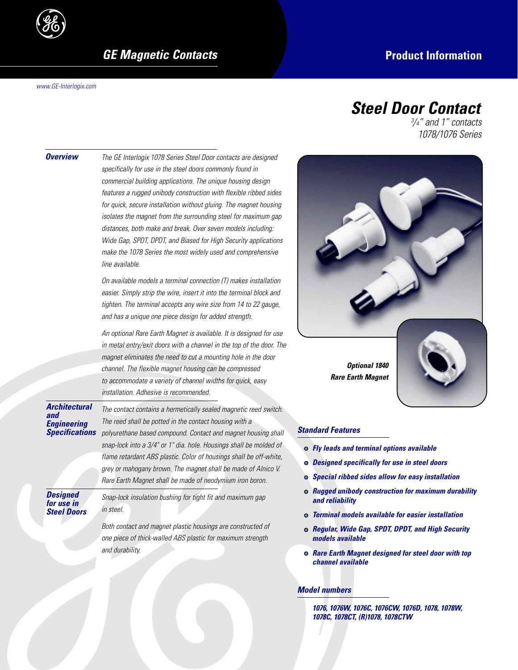

**GE Magnetic Contacts Product Information** 

*www.GE-Interlogix.com*

# *Steel Door Contact*

*3 /4" and 1" contacts 1078/1076 Series*

| <b>Overview</b>                                              | The GE Interlogix 1078 Series Steel Door contacts are designed<br>specifically for use in the steel doors commonly found in<br>commercial building applications. The unique housing design<br>features a rugged unibody construction with flexible ribbed sides<br>for quick, secure installation without gluing. The magnet housing<br>isolates the magnet from the surrounding steel for maximum gap<br>distances, both make and break. Over seven models including:<br>Wide Gap, SPDT, DPDT, and Biased for High Security applications<br>make the 1078 Series the most widely used and comprehensive<br>line available. |                                         |  |  |  |  |
|--------------------------------------------------------------|-----------------------------------------------------------------------------------------------------------------------------------------------------------------------------------------------------------------------------------------------------------------------------------------------------------------------------------------------------------------------------------------------------------------------------------------------------------------------------------------------------------------------------------------------------------------------------------------------------------------------------|-----------------------------------------|--|--|--|--|
|                                                              | On available models a terminal connection (T) makes installation<br>easier. Simply strip the wire, insert it into the terminal block and<br>tighten. The terminal accepts any wire size from 14 to 22 gauge,<br>and has a unique one piece design for added strength.                                                                                                                                                                                                                                                                                                                                                       |                                         |  |  |  |  |
|                                                              | An optional Rare Earth Magnet is available. It is designed for use<br>in metal entry/exit doors with a channel in the top of the door. The<br>magnet eliminates the need to cut a mounting hole in the door<br>channel. The flexible magnet housing can be compressed<br>to accommodate a variety of channel widths for quick, easy<br>installation. Adhesive is recommended.                                                                                                                                                                                                                                               |                                         |  |  |  |  |
| Architectural<br><b>Engineering</b><br><b>Specifications</b> | The contact contains a hermetically sealed magnetic reed switch.<br>The reed shall be potted in the contact housing with a<br>polyurethane based compound. Contact and magnet housing shall<br>snap-lock into a 3/4" or 1" dia. hole. Housings shall be molded of<br>flame retardant ABS plastic. Color of housings shall be off-white,<br>grey or mahogany brown. The magnet shall be made of Alnico V.<br>Rare Earth Magnet shall be made of neodymium iron boron.                                                                                                                                                        | Standa<br>o Fl<br>o Do<br>$\circ$ $s_l$ |  |  |  |  |
| <b>Designed</b><br>for use in<br><b>Steel Doors</b>          | Snap-lock insulation bushing for tight fit and maximum gap<br>in steel.<br>Both contact and magnet plastic housings are constructed of<br>one piece of thick-walled ABS plastic for maximum strength                                                                                                                                                                                                                                                                                                                                                                                                                        | o Rı<br>ar<br>Te<br>o Re<br>m           |  |  |  |  |
|                                                              | and durability.                                                                                                                                                                                                                                                                                                                                                                                                                                                                                                                                                                                                             | o Ra<br>ch                              |  |  |  |  |



## *Standard Features*

- *Fly leads and terminal options available*
- *Designed specifically for use in steel doors*
- *Special ribbed sides allow for easy installation*
- *Rugged unibody construction for maximum durability and reliability*
- *Terminal models available for easier installation*
- *Regular, Wide Gap, SPDT, DPDT, and High Security models available*
- *Rare Earth Magnet designed for steel door with top channel available*

### *Model numbers*

*1076, 1076W, 1076C, 1076CW, 1076D, 1078, 1078W, 1078C, 1078CT, (R)1078, 1078CTW*